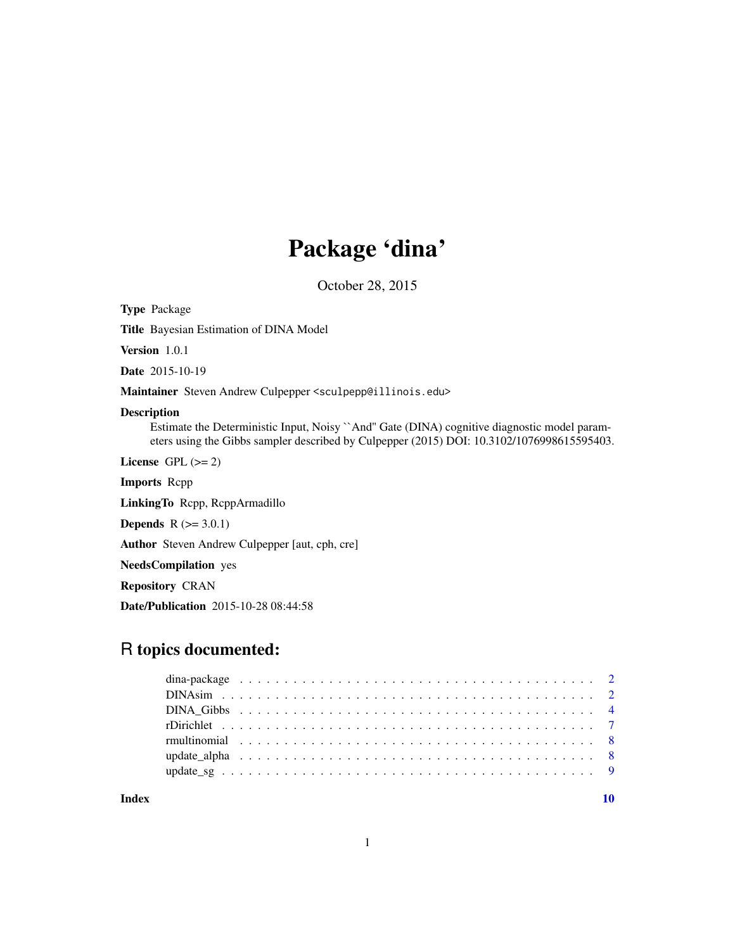## Package 'dina'

October 28, 2015

Type Package

Title Bayesian Estimation of DINA Model

Version 1.0.1

Date 2015-10-19

Maintainer Steven Andrew Culpepper <sculpepp@illinois.edu>

## Description

Estimate the Deterministic Input, Noisy ``And'' Gate (DINA) cognitive diagnostic model parameters using the Gibbs sampler described by Culpepper (2015) DOI: 10.3102/1076998615595403.

License GPL  $(>= 2)$ 

Imports Rcpp

LinkingTo Rcpp, RcppArmadillo

**Depends**  $R$  ( $>= 3.0.1$ )

Author Steven Andrew Culpepper [aut, cph, cre]

NeedsCompilation yes

Repository CRAN

Date/Publication 2015-10-28 08:44:58

## R topics documented:

 $\blacksquare$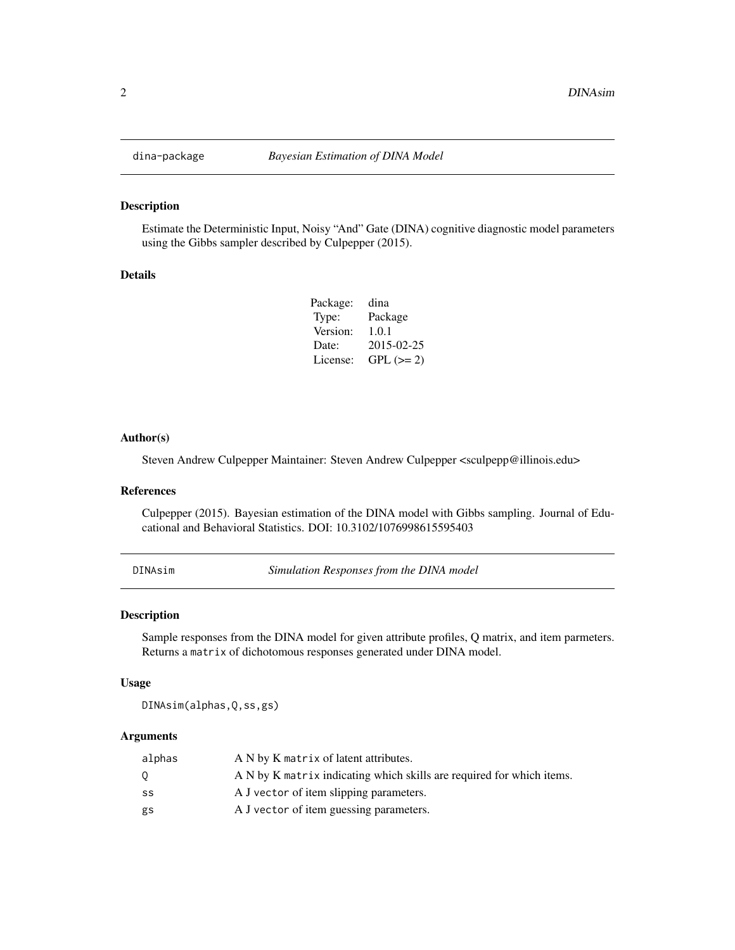<span id="page-1-0"></span>

### Description

Estimate the Deterministic Input, Noisy "And" Gate (DINA) cognitive diagnostic model parameters using the Gibbs sampler described by Culpepper (2015).

#### Details

| Package: | dina       |
|----------|------------|
| Type:    | Package    |
| Version: | 1.0.1      |
| Date:    | 2015-02-25 |
| License: | $GPL (=2)$ |

#### Author(s)

Steven Andrew Culpepper Maintainer: Steven Andrew Culpepper <sculpepp@illinois.edu>

#### References

Culpepper (2015). Bayesian estimation of the DINA model with Gibbs sampling. Journal of Educational and Behavioral Statistics. DOI: 10.3102/1076998615595403

<span id="page-1-1"></span>DINAsim *Simulation Responses from the DINA model*

#### Description

Sample responses from the DINA model for given attribute profiles, Q matrix, and item parmeters. Returns a matrix of dichotomous responses generated under DINA model.

#### Usage

DINAsim(alphas,Q,ss,gs)

## Arguments

| alphas | A N by K matrix of latent attributes.                                 |
|--------|-----------------------------------------------------------------------|
| 0.     | A N by K matrix indicating which skills are required for which items. |
| SS     | A J vector of item slipping parameters.                               |
| gs     | A J vector of item guessing parameters.                               |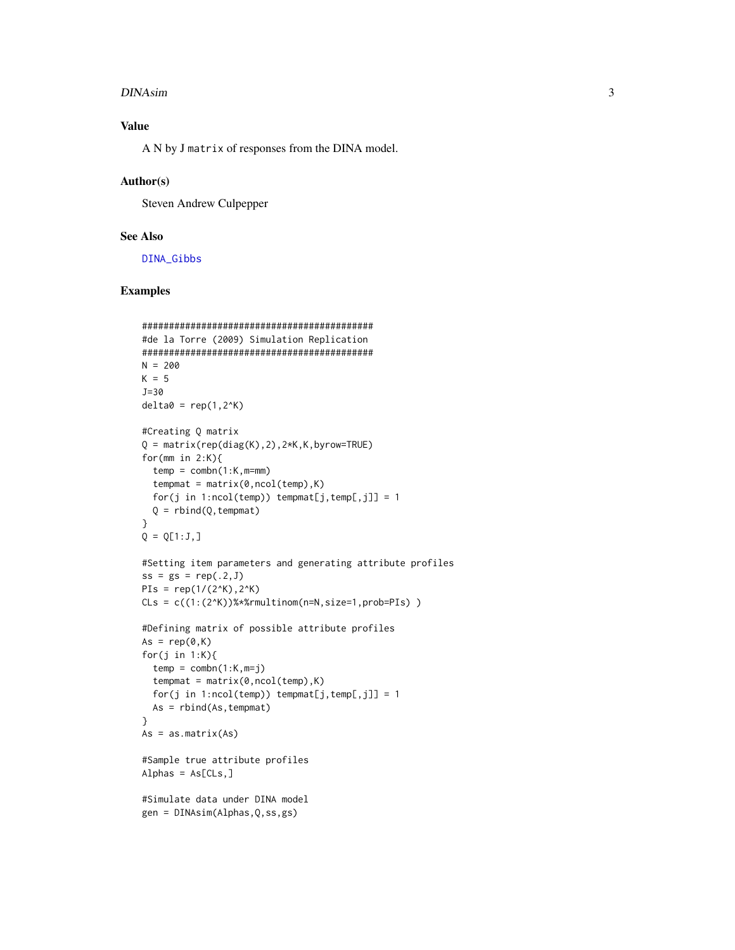#### <span id="page-2-0"></span>DINAsim 3

## Value

A N by J matrix of responses from the DINA model.

#### Author(s)

Steven Andrew Culpepper

## See Also

[DINA\\_Gibbs](#page-3-1)

## Examples

```
###########################################
#de la Torre (2009) Simulation Replication
###########################################
N = 200K = 5J=30
delta = rep(1,2^K)#Creating Q matrix
Q = matrix(rep(diag(K),2),2*K,K,byrow=True)for(mm in 2:K){
  temp = combn(1:K, m=mm)tempmat = matrix(0, ncol(temp), K)for(j in 1:ncol(temp)) tempmat[j,temp[,j]] = 1
  Q = \text{rbind}(Q, \text{tempmat})}
Q = Q[1:J,]#Setting item parameters and generating attribute profiles
ss = gs = rep(.2, J)PIs = rep(1/(2^k), 2^k)C\text{Ls} = c((1:(2^K))\text{***} rmultinom(n=N, size=1, prob=PIs) )
#Defining matrix of possible attribute profiles
As = rep(0,K)for(j in 1:K){
  temp = combn(1:K,m=j)tempmat = matrix(0, ncol(temp), K)for(j in 1:ncol(temp)) tempmat[j,temp[,j]] = 1
  As = rbind(As,tempmat)
}
As = as.matrix(As)#Sample true attribute profiles
Alphas = As[CLS, ]#Simulate data under DINA model
gen = DINAsim(Alphas,Q,ss,gs)
```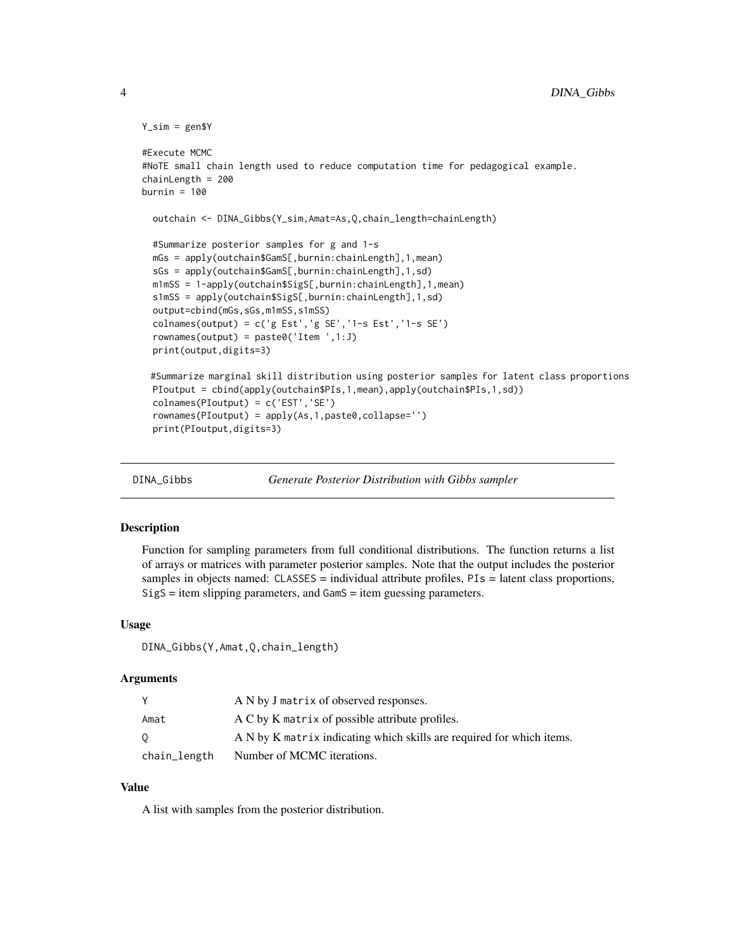```
Y_sim = gen$Y
#Execute MCMC
#NoTE small chain length used to reduce computation time for pedagogical example.
chainLength = 200
burnin = 100outchain <- DINA_Gibbs(Y_sim,Amat=As,Q,chain_length=chainLength)
 #Summarize posterior samples for g and 1-s
 mGs = apply(outchain$GamS[,burnin:chainLength],1,mean)
 sGs = apply(outchain$GamS[,burnin:chainLength],1,sd)
 m1mSS = 1-apply(outchain$SigS[,burnin:chainLength],1,mean)
 s1mSS = apply(outchain$SigS[,burnin:chainLength],1,sd)
 output=cbind(mGs,sGs,m1mSS,s1mSS)
 colnames(output) = c('g Est','g SE','1-s Est','1-s SE')
 rownames(output) = paste0('Item ',1:J)
 print(output,digits=3)
 #Summarize marginal skill distribution using posterior samples for latent class proportions
 PIoutput = cbind(apply(outchain$PIs,1,mean),apply(outchain$PIs,1,sd))
 colnames(PIoutput) = c('EST','SE')
 rownames(PIoutput) = apply(As,1,paste0,collapse='')
 print(PIoutput,digits=3)
```
<span id="page-3-1"></span>

DINA\_Gibbs *Generate Posterior Distribution with Gibbs sampler*

#### Description

Function for sampling parameters from full conditional distributions. The function returns a list of arrays or matrices with parameter posterior samples. Note that the output includes the posterior samples in objects named: CLASSES = individual attribute profiles, PIs = latent class proportions, SigS = item slipping parameters, and GamS = item guessing parameters.

#### Usage

DINA\_Gibbs(Y,Amat,Q,chain\_length)

#### **Arguments**

|              | A N by J matrix of observed responses.                                |
|--------------|-----------------------------------------------------------------------|
| Amat         | A C by K matrix of possible attribute profiles.                       |
| $\sigma$     | A N by K matrix indicating which skills are required for which items. |
| chain_length | Number of MCMC iterations.                                            |

## Value

A list with samples from the posterior distribution.

<span id="page-3-0"></span>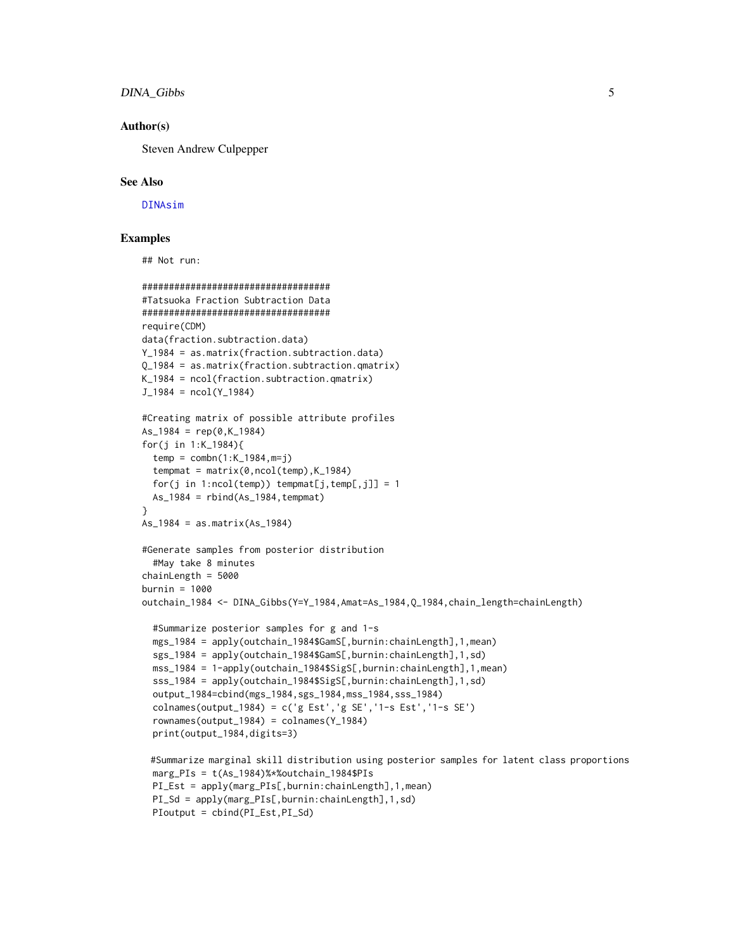### <span id="page-4-0"></span>DINA\_Gibbs 5

#### Author(s)

Steven Andrew Culpepper

#### See Also

[DINAsim](#page-1-1)

#### Examples

## Not run:

```
###################################
#Tatsuoka Fraction Subtraction Data
###################################
require(CDM)
data(fraction.subtraction.data)
Y_1984 = as.matrix(fraction.subtraction.data)
Q_1984 = as.matrix(fraction.subtraction.qmatrix)
K_1984 = ncol(fraction.subtraction.qmatrix)
J_1984 = ncol(Y_1984)#Creating matrix of possible attribute profiles
As_1984 = rep(0,K_1984)for(j in 1:K_1984){
  temp = combn(1:K_1984, m=j)tempmat = matrix(0, ncol(temp), K_1984)for(j in 1:ncol(temp)) tempmat[j,temp[,j]] = 1
  As_1984 = rbind(As_1984, tempmat)}
As_1984 = as.matrix(As_1984)
#Generate samples from posterior distribution
  #May take 8 minutes
chainLength = 5000
burnin = 1000
outchain_1984 <- DINA_Gibbs(Y=Y_1984,Amat=As_1984,Q_1984,chain_length=chainLength)
  #Summarize posterior samples for g and 1-s
  mgs_1984 = apply(outchain_1984$GamS[,burnin:chainLength],1,mean)
  sgs_1984 = apply(outchain_1984$GamS[,burnin:chainLength],1,sd)
  mss_1984 = 1-apply(outchain_1984$SigS[,burnin:chainLength],1,mean)
  sss_1984 = apply(outchain_1984$SigS[,burnin:chainLength],1,sd)
  output_1984=cbind(mgs_1984,sgs_1984,mss_1984,sss_1984)
  colnames(output_1984) = c('g Est','g SE','1-s Est','1-s SE')
  rownames(output_1984) = colnames(Y_1984)
  print(output_1984,digits=3)
 #Summarize marginal skill distribution using posterior samples for latent class proportions
  marg_PIs = t(As_1984)%*%outchain_1984$PIs
  PI_Est = apply(marg_PIs[,burnin:chainLength],1,mean)
  PI_Sd = apply(marg_PIs[,burnin:chainLength],1,sd)
  PIoutput = cbind(PI_Est,PI_Sd)
```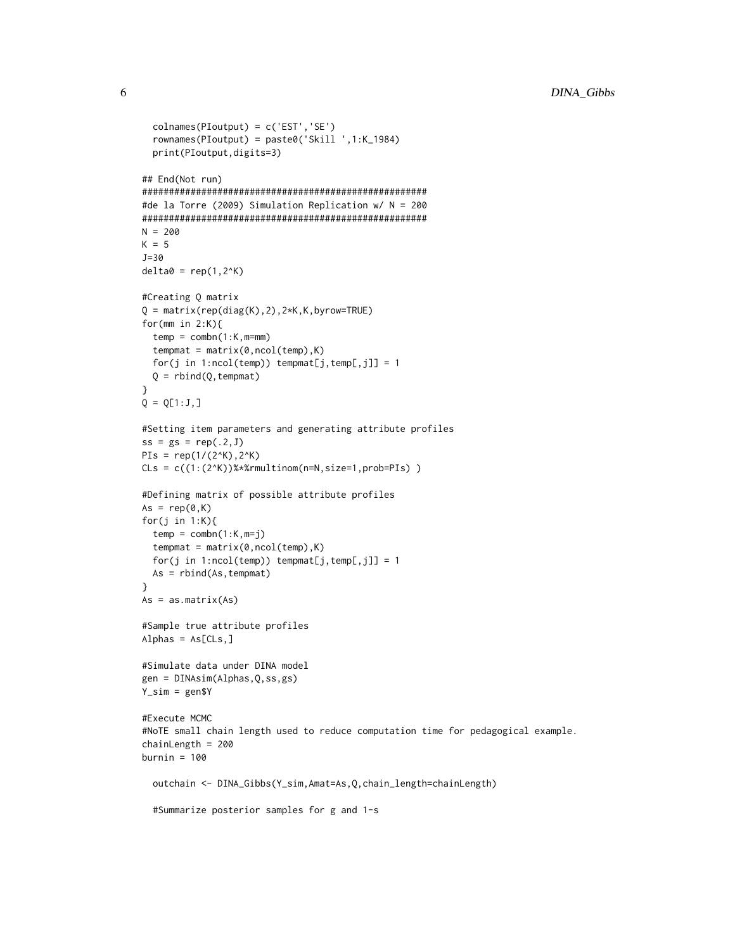```
colnames(PIoutput) = c('EST','SE')
  rownames(PIoutput) = paste0('Skill ',1:K_1984)
  print(PIoutput,digits=3)
## End(Not run)
#####################################################
#de la Torre (2009) Simulation Replication w/ N = 200
#####################################################
N = 200K = 5J=30
delta = rep(1,2^K)#Creating Q matrix
Q = matrix(rep(diag(K),2),2*K,K,byrow=TRUE)for(mm in 2:K){
  temp = combn(1:K, m=mm)tempmat = matrix(0, ncol(temp), K)for(j in 1:ncol(temp)) tempmat[j,temp[,j]] = 1
  Q = rbind(Q, tempmat)
}
Q = Q[1:J,]#Setting item parameters and generating attribute profiles
ss = gs = rep(.2, J)PIs = rep(1/(2^k), 2^k)C\text{Ls} = c((1:(2^K))\text{***}multinom(n=N,size=1,prob=PIs))
#Defining matrix of possible attribute profiles
As = rep(0,K)for(j in 1:K){
 temp = combn(1:K,m=j)tempmat = matrix(0, ncol(temp), K)for(j in 1:ncol(temp)) tempmat[j,temp[,j]] = 1
  As = rbind(As,tempmat)
}
As = as.matrix(As)#Sample true attribute profiles
Alphas = As[CLS, ]#Simulate data under DINA model
gen = DINAsim(Alphas,Q,ss,gs)
Y_sim = gen$Y
#Execute MCMC
#NoTE small chain length used to reduce computation time for pedagogical example.
chainLength = 200
burnin = 100outchain <- DINA_Gibbs(Y_sim,Amat=As,Q,chain_length=chainLength)
  #Summarize posterior samples for g and 1-s
```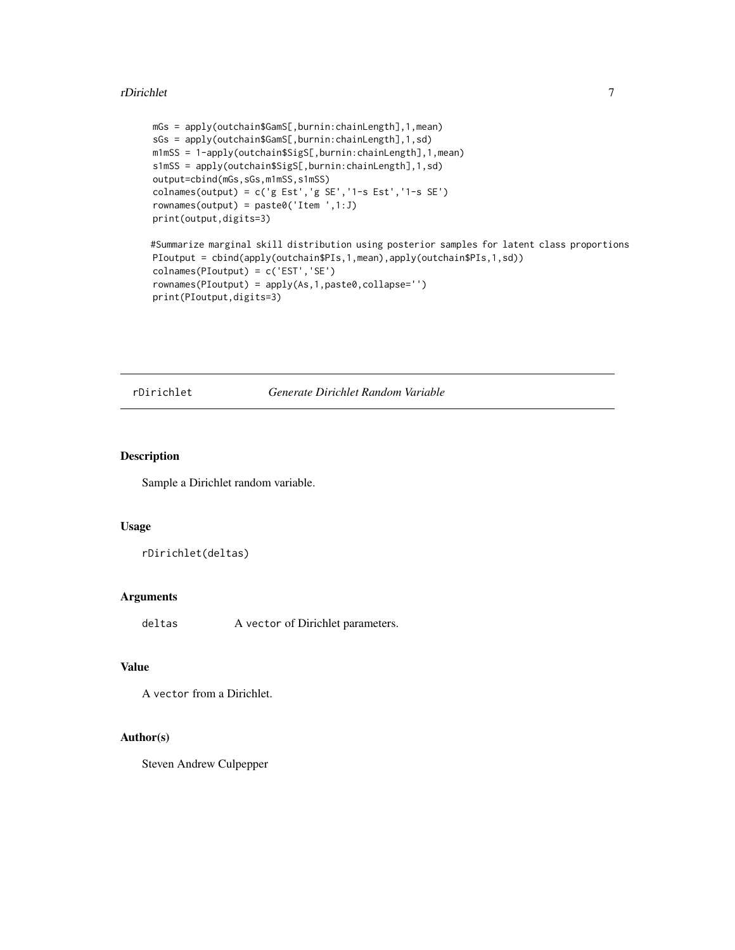#### <span id="page-6-0"></span>rDirichlet 7

```
mGs = apply(outchain$GamS[,burnin:chainLength],1,mean)
sGs = apply(outchain$GamS[,burnin:chainLength],1,sd)
m1mSS = 1-apply(outchain$SigS[,burnin:chainLength],1,mean)
s1mSS = apply(outchain$SigS[,burnin:chainLength],1,sd)
output=cbind(mGs,sGs,m1mSS,s1mSS)
colnames(output) = c('g Est','g SE','1-s Est','1-s SE')
rownames(output) = paste0('Item ',1:J)
print(output,digits=3)
#Summarize marginal skill distribution using posterior samples for latent class proportions
PIoutput = cbind(apply(outchain$PIs,1,mean),apply(outchain$PIs,1,sd))
colnames(PIoutput) = c('EST','SE')
rownames(PIoutput) = apply(As,1,paste0,collapse='')
print(PIoutput,digits=3)
```
#### rDirichlet *Generate Dirichlet Random Variable*

## Description

Sample a Dirichlet random variable.

## Usage

```
rDirichlet(deltas)
```
#### Arguments

deltas A vector of Dirichlet parameters.

## Value

```
A vector from a Dirichlet.
```
#### Author(s)

Steven Andrew Culpepper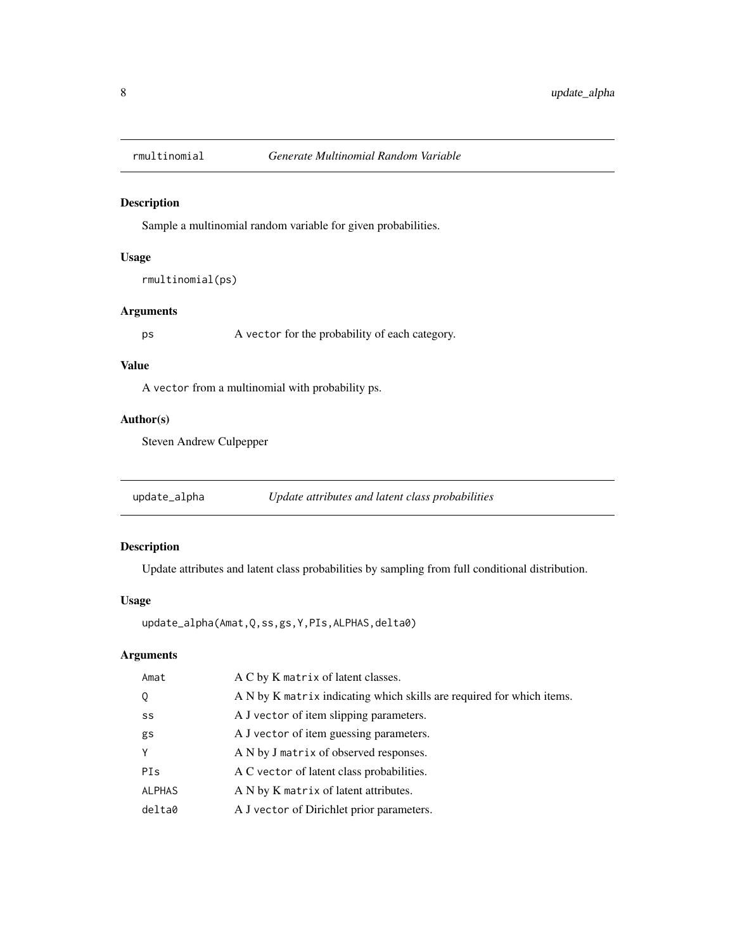<span id="page-7-0"></span>

## Description

Sample a multinomial random variable for given probabilities.

## Usage

rmultinomial(ps)

## Arguments

ps A vector for the probability of each category.

## Value

A vector from a multinomial with probability ps.

## Author(s)

Steven Andrew Culpepper

## Description

Update attributes and latent class probabilities by sampling from full conditional distribution.

### Usage

```
update_alpha(Amat,Q,ss,gs,Y,PIs,ALPHAS,delta0)
```
## Arguments

| A C by K matrix of latent classes.                                    |
|-----------------------------------------------------------------------|
| A N by K matrix indicating which skills are required for which items. |
| A J vector of item slipping parameters.                               |
| A J vector of item guessing parameters.                               |
| A N by J matrix of observed responses.                                |
| A C vector of latent class probabilities.                             |
| A N by K matrix of latent attributes.                                 |
| A J vector of Dirichlet prior parameters.                             |
|                                                                       |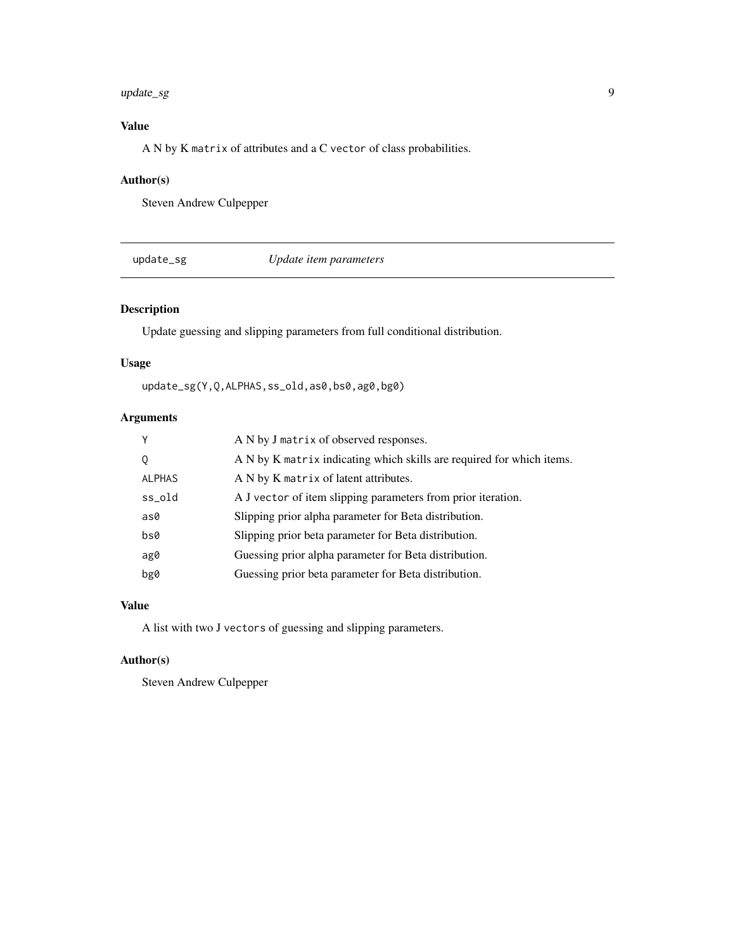#### <span id="page-8-0"></span>update\_sg 9

## Value

A N by K matrix of attributes and a C vector of class probabilities.

## Author(s)

Steven Andrew Culpepper

update\_sg *Update item parameters*

## Description

Update guessing and slipping parameters from full conditional distribution.

## Usage

update\_sg(Y,Q,ALPHAS,ss\_old,as0,bs0,ag0,bg0)

## Arguments

| Y             | A N by J matrix of observed responses.                                |
|---------------|-----------------------------------------------------------------------|
| Q             | A N by K matrix indicating which skills are required for which items. |
| <b>ALPHAS</b> | A N by K matrix of latent attributes.                                 |
| ss_old        | A J vector of item slipping parameters from prior iteration.          |
| as0           | Slipping prior alpha parameter for Beta distribution.                 |
| bs0           | Slipping prior beta parameter for Beta distribution.                  |
| ag0           | Guessing prior alpha parameter for Beta distribution.                 |
| bg0           | Guessing prior beta parameter for Beta distribution.                  |

#### Value

A list with two J vectors of guessing and slipping parameters.

## Author(s)

Steven Andrew Culpepper